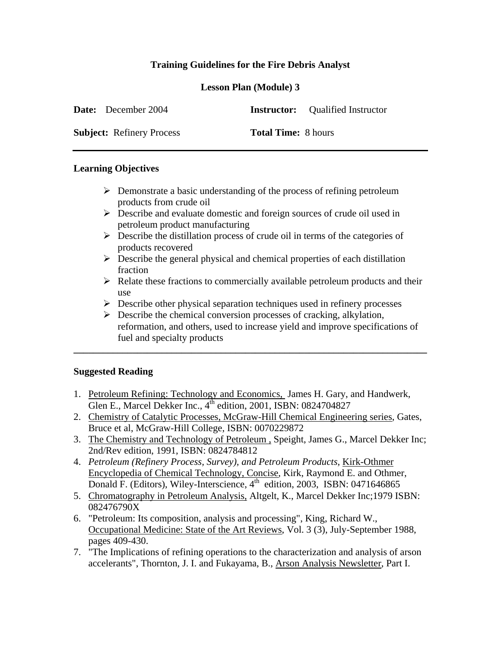# **Training Guidelines for the Fire Debris Analyst**

## **Lesson Plan (Module) 3**

| <b>Date:</b> December 2004       |                            | <b>Instructor:</b> Qualified Instructor |
|----------------------------------|----------------------------|-----------------------------------------|
| <b>Subject:</b> Refinery Process | <b>Total Time:</b> 8 hours |                                         |

### **Learning Objectives**

- $\triangleright$  Demonstrate a basic understanding of the process of refining petroleum products from crude oil
- Describe and evaluate domestic and foreign sources of crude oil used in petroleum product manufacturing
- $\triangleright$  Describe the distillation process of crude oil in terms of the categories of products recovered
- $\triangleright$  Describe the general physical and chemical properties of each distillation fraction
- $\triangleright$  Relate these fractions to commercially available petroleum products and their use
- $\triangleright$  Describe other physical separation techniques used in refinery processes

**\_\_\_\_\_\_\_\_\_\_\_\_\_\_\_\_\_\_\_\_\_\_\_\_\_\_\_\_\_\_\_\_\_\_\_\_\_\_\_\_\_\_\_\_\_\_\_\_\_\_\_\_\_\_\_\_\_\_\_\_\_\_\_\_\_\_\_\_\_\_\_\_** 

 $\triangleright$  Describe the chemical conversion processes of cracking, alkylation, reformation, and others, used to increase yield and improve specifications of fuel and specialty products

### **Suggested Reading**

- 1. Petroleum Refining: Technology and Economics, James H. Gary, and Handwerk, Glen E., Marcel Dekker Inc.,  $4^{th}$  edition, 2001, ISBN: 0824704827
- 2. Chemistry of Catalytic Processes, McGraw-Hill Chemical Engineering series, Gates, Bruce et al, McGraw-Hill College, ISBN: 0070229872
- 3. The Chemistry and Technology of Petroleum , Speight, James G., Marcel Dekker Inc; 2nd/Rev edition, 1991, ISBN: 0824784812
- 4. *Petroleum (Refinery Process, Survey), and Petroleum Products*, Kirk-Othmer Encyclopedia of Chemical Technology, Concise, Kirk, Raymond E. and Othmer, Donald F. (Editors), Wiley-Interscience,  $4^{th}$  edition, 2003, ISBN: 0471646865
- 5. Chromatography in Petroleum Analysis, Altgelt, K., Marcel Dekker Inc;1979 ISBN: 082476790X
- 6. "Petroleum: Its composition, analysis and processing", King, Richard W., Occupational Medicine: State of the Art Reviews, Vol. 3 (3), July-September 1988, pages 409-430.
- 7. "The Implications of refining operations to the characterization and analysis of arson accelerants", Thornton, J. I. and Fukayama, B., Arson Analysis Newsletter, Part I.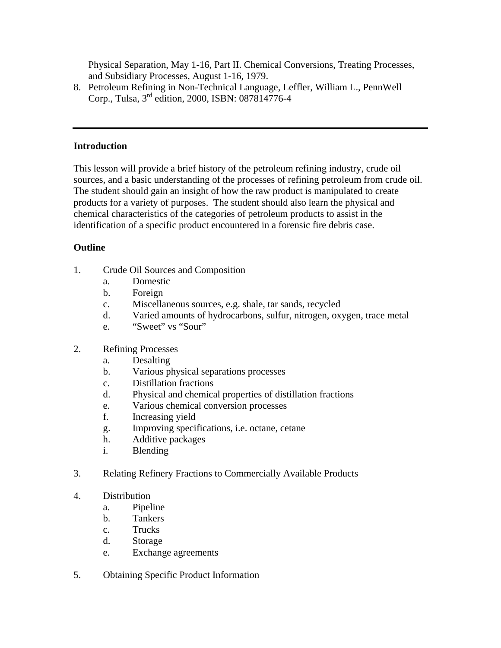Physical Separation, May 1-16, Part II. Chemical Conversions, Treating Processes, and Subsidiary Processes, August 1-16, 1979.

8. Petroleum Refining in Non-Technical Language, Leffler, William L., PennWell Corp., Tulsa, 3rd edition, 2000, ISBN: 087814776-4

## **Introduction**

This lesson will provide a brief history of the petroleum refining industry, crude oil sources, and a basic understanding of the processes of refining petroleum from crude oil. The student should gain an insight of how the raw product is manipulated to create products for a variety of purposes. The student should also learn the physical and chemical characteristics of the categories of petroleum products to assist in the identification of a specific product encountered in a forensic fire debris case.

### **Outline**

- 1. Crude Oil Sources and Composition
	- a. Domestic
	- b. Foreign
	- c. Miscellaneous sources, e.g. shale, tar sands, recycled
	- d. Varied amounts of hydrocarbons, sulfur, nitrogen, oxygen, trace metal
	- e. "Sweet" vs "Sour"
- 2. Refining Processes
	- a. Desalting
	- b. Various physical separations processes
	- c. Distillation fractions
	- d. Physical and chemical properties of distillation fractions
	- e. Various chemical conversion processes
	- f. Increasing yield
	- g. Improving specifications, i.e. octane, cetane
	- h. Additive packages
	- i. Blending
- 3. Relating Refinery Fractions to Commercially Available Products
- 4. Distribution
	- a. Pipeline
	- b. Tankers
	- c. Trucks
	- d. Storage
	- e. Exchange agreements
- 5. Obtaining Specific Product Information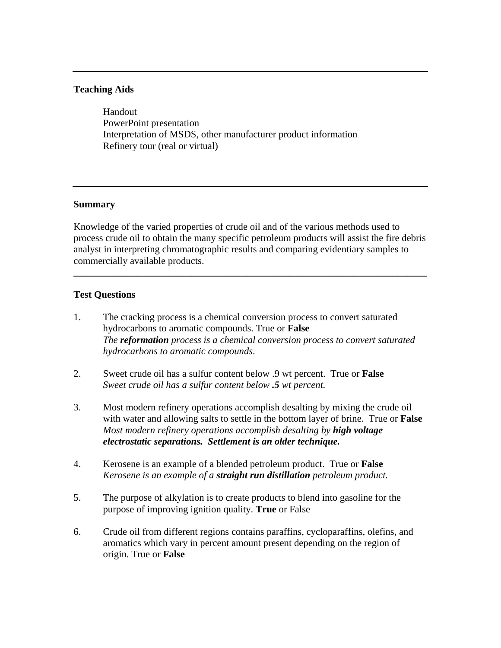### **Teaching Aids**

 Handout PowerPoint presentation Interpretation of MSDS, other manufacturer product information Refinery tour (real or virtual)

### **Summary**

Knowledge of the varied properties of crude oil and of the various methods used to process crude oil to obtain the many specific petroleum products will assist the fire debris analyst in interpreting chromatographic results and comparing evidentiary samples to commercially available products.

**\_\_\_\_\_\_\_\_\_\_\_\_\_\_\_\_\_\_\_\_\_\_\_\_\_\_\_\_\_\_\_\_\_\_\_\_\_\_\_\_\_\_\_\_\_\_\_\_\_\_\_\_\_\_\_\_\_\_\_\_\_\_\_\_\_\_\_\_\_\_\_\_** 

### **Test Questions**

- 1. The cracking process is a chemical conversion process to convert saturated hydrocarbons to aromatic compounds. True or **False** *The reformation process is a chemical conversion process to convert saturated hydrocarbons to aromatic compounds*.
- 2. Sweet crude oil has a sulfur content below .9 wt percent. True or **False** *Sweet crude oil has a sulfur content below .5 wt percent.*
- 3. Most modern refinery operations accomplish desalting by mixing the crude oil with water and allowing salts to settle in the bottom layer of brine. True or **False** *Most modern refinery operations accomplish desalting by high voltage electrostatic separations. Settlement is an older technique.*
- 4. Kerosene is an example of a blended petroleum product. True or **False** *Kerosene is an example of a straight run distillation petroleum product.*
- 5. The purpose of alkylation is to create products to blend into gasoline for the purpose of improving ignition quality. **True** or False
- 6. Crude oil from different regions contains paraffins, cycloparaffins, olefins, and aromatics which vary in percent amount present depending on the region of origin. True or **False**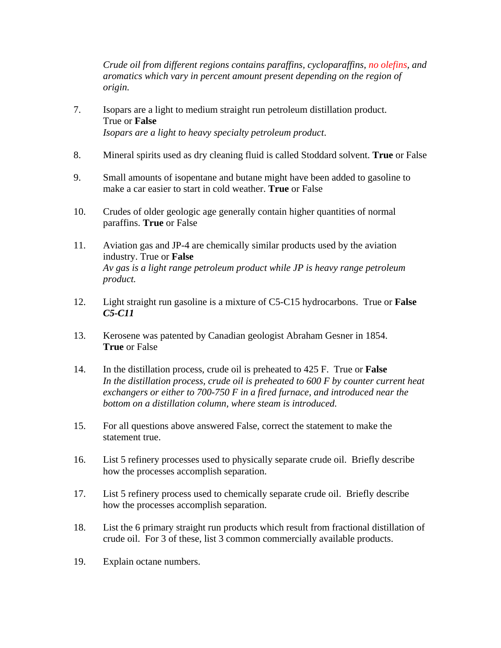*Crude oil from different regions contains paraffins, cycloparaffins, no olefins, and aromatics which vary in percent amount present depending on the region of origin.*

- 7. Isopars are a light to medium straight run petroleum distillation product. True or **False** *Isopars are a light to heavy specialty petroleum product*.
- 8. Mineral spirits used as dry cleaning fluid is called Stoddard solvent. **True** or False
- 9. Small amounts of isopentane and butane might have been added to gasoline to make a car easier to start in cold weather. **True** or False
- 10. Crudes of older geologic age generally contain higher quantities of normal paraffins. **True** or False
- 11. Aviation gas and JP-4 are chemically similar products used by the aviation industry. True or **False** *Av gas is a light range petroleum product while JP is heavy range petroleum product.*
- 12. Light straight run gasoline is a mixture of C5-C15 hydrocarbons. True or **False** *C5-C11*
- 13. Kerosene was patented by Canadian geologist Abraham Gesner in 1854. **True** or False
- 14. In the distillation process, crude oil is preheated to 425 F. True or **False** *In the distillation process, crude oil is preheated to 600 F by counter current heat exchangers or either to 700-750 F in a fired furnace, and introduced near the bottom on a distillation column, where steam is introduced.*
- 15. For all questions above answered False, correct the statement to make the statement true.
- 16. List 5 refinery processes used to physically separate crude oil. Briefly describe how the processes accomplish separation.
- 17. List 5 refinery process used to chemically separate crude oil. Briefly describe how the processes accomplish separation.
- 18. List the 6 primary straight run products which result from fractional distillation of crude oil. For 3 of these, list 3 common commercially available products.
- 19. Explain octane numbers.